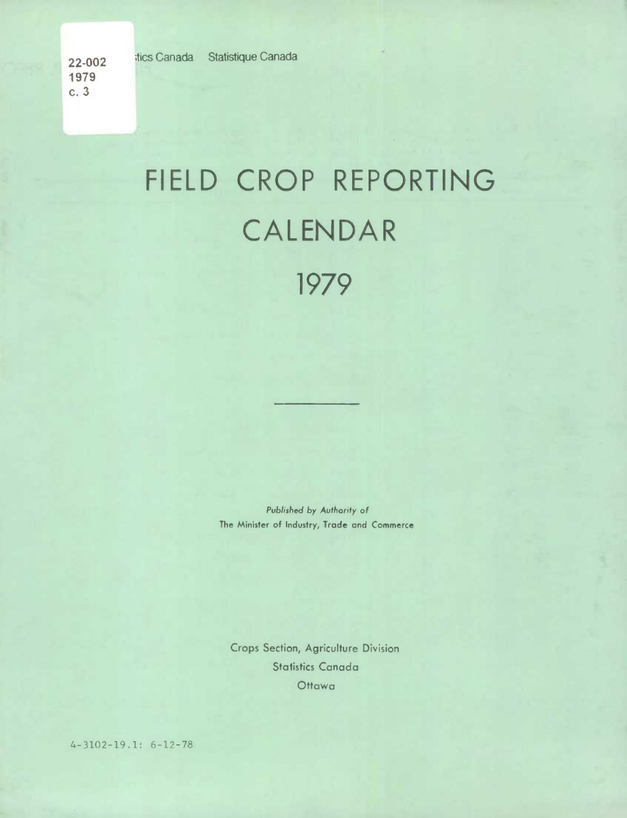## FIELD CROP REPORTING CALENDAR 1979

*Published by Authority* of The Minister of Industry, Trade and Commerce

Crops Section, Agriculture Division Statistics Canada **Ottawa** 

4-3102-19.1: 6-12-78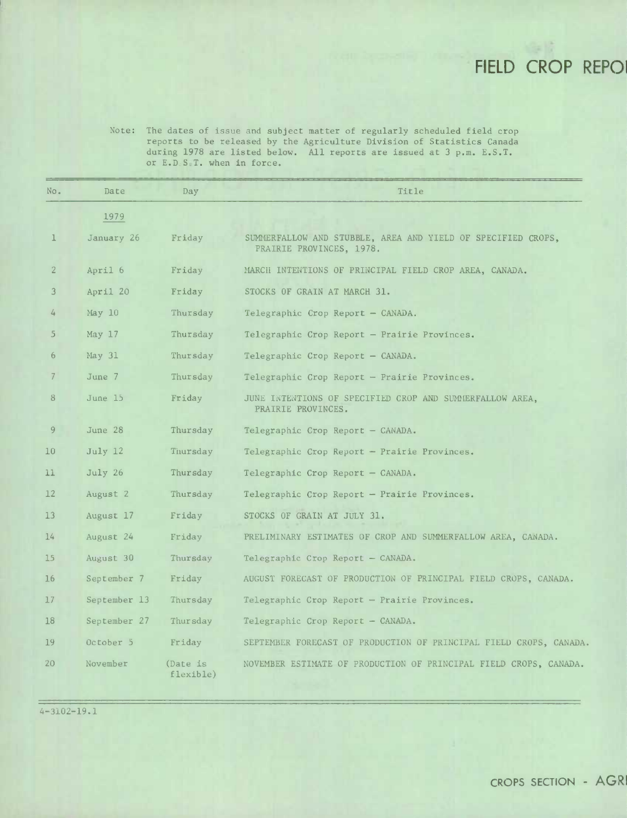## **FIELD CROP REPOI**

Note: The dates of issue and subject matter of regularly scheduled field crop reports to be released by the Agriculture Division of Statistics Canada during 1978 are listed below. All reports are issued at 3 p.m. E.S.T. or E.D.S.T. when in force.

| No.            | Date              | Day                   | Title                                                                                    |
|----------------|-------------------|-----------------------|------------------------------------------------------------------------------------------|
|                | 1979              |                       |                                                                                          |
| $\perp$        | January 26        | Friday                | SUMMERFALLOW AND STUBBLE, AREA AND YIELD OF SPECIFIED CROPS,<br>PRAIRIE PROVINCES, 1978. |
| $\overline{2}$ | April 6           | Friday                | MARCH INTENTIONS OF PRINCIPAL FIELD CROP AREA, CANADA.                                   |
| 3              | April 20          | Friday                | STOCKS OF GRAIN AT MARCH 31.                                                             |
| 4              | May 10            | Thursday              | Telegraphic Crop Report - CANADA.                                                        |
| 5.             | May <sub>17</sub> | Thursday              | Telegraphic Crop Report - Prairie Provinces.                                             |
| 6              | May 31            | Thursday              | Telegraphic Crop Report - CANADA.                                                        |
| 7              | June 7            | Thursday              | Telegraphic Crop Report - Prairie Provinces.                                             |
| 8              | June 15           | Friday                | JUNE INTENTIONS OF SPECIFIED CROP AND SUMMERFALLOW AREA.<br>PRAIRIE PROVINCES.           |
| 9              | June 28           | Thursday              | Telegraphic Crop Report - CANADA.                                                        |
| 10             | July 12           | Thursday              | Telegraphic Crop Report - Prairie Provinces.                                             |
| 11             | July 26           | Thursday              | Telegraphic Crop Report - CANADA.                                                        |
| 12             | August 2          | Thursday              | Telegraphic Crop Report - Prairie Provinces.                                             |
| 13             | August 17         | Friday                | STOCKS OF GRAIN AT JULY 31.                                                              |
| 14             | August 24         | Friday                | PRELIMINARY ESTIMATES OF CROP AND SUMMERFALLOW AREA, CANADA.                             |
| $15\,$         | August 30         | Thursday              | Telegraphic Crop Report - CANADA.                                                        |
| 16             | September 7       | Friday                | AUGUST FORECAST OF PRODUCTION OF PRINCIPAL FIELD CROPS, CANADA.                          |
| 17             | September 13      | Thursday              | Telegraphic Crop Report - Prairie Provinces.                                             |
| 18             | September 27      | Thursday              | Telegraphic Crop Report - CANADA.                                                        |
| 19             | October 5         | Friday                | SEPTEMBER FORECAST OF PRODUCTION OF PRINCIPAL FIELD CROPS, CANADA.                       |
| 20             | November          | (Date is<br>flexible) | NOVEMBER ESTIMATE OF PRODUCTION OF PRINCIPAL FIELD CROPS, CANADA.                        |

4-3102-19.1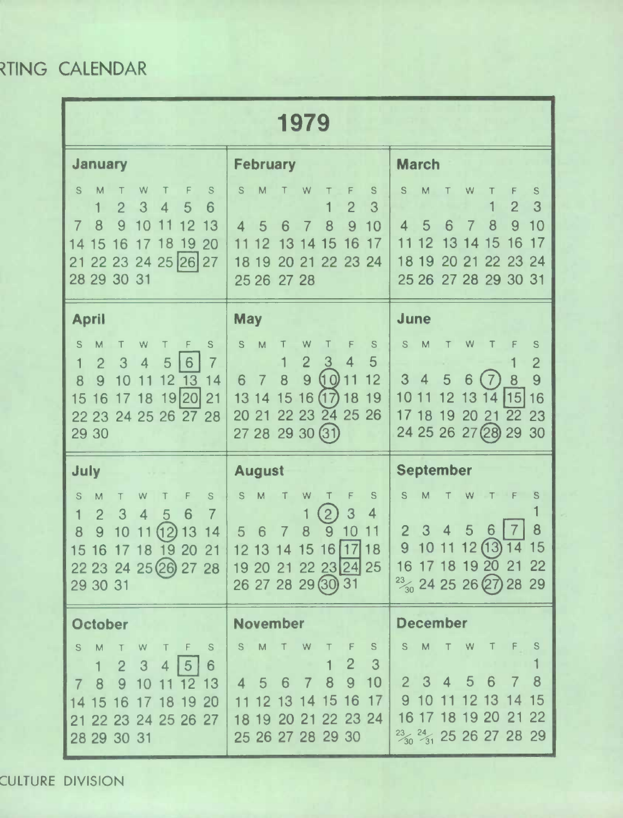## RTING CALENDAR

| 1979                                                                                                                                                                                                                                           |                                                                                                                                                                                                                                               |                                                                                                                                                                                                       |  |  |  |  |  |  |  |
|------------------------------------------------------------------------------------------------------------------------------------------------------------------------------------------------------------------------------------------------|-----------------------------------------------------------------------------------------------------------------------------------------------------------------------------------------------------------------------------------------------|-------------------------------------------------------------------------------------------------------------------------------------------------------------------------------------------------------|--|--|--|--|--|--|--|
| <b>January</b>                                                                                                                                                                                                                                 | <b>February</b>                                                                                                                                                                                                                               | <b>March</b>                                                                                                                                                                                          |  |  |  |  |  |  |  |
| S<br>W<br>F<br>$\mathbb S$<br>M<br>$\overline{2}$<br>3<br>1<br>5<br>$\overline{\mathcal{A}}$<br>6<br>9<br>$\overline{7}$<br>8<br>10<br>13<br>$\overline{2}$<br>14<br>15<br>8<br>19<br>20<br>16<br>17<br>22 23 24 25 26 27<br>21<br>28 29 30 31 | S<br>M<br>W<br>S<br>$\overline{2}$<br>3<br>1<br>8<br>9<br>10<br>5<br>$\overline{\mathcal{A}}$<br>6<br>16<br>17<br>12<br>14<br>15<br>13<br>22 23 24<br>19<br>20<br>21<br>18<br>25 26<br>27 28                                                  | S<br>M<br>W<br>$\mathbb S$<br>F<br>3<br>$\overline{2}$<br>10<br>8<br>9<br>5<br>6<br>4<br>7<br>2<br>15<br>16<br>17<br>13<br>14<br>19<br>23<br>24<br>20<br>21<br>22<br>18<br>27 28 29 30 31<br>25 26    |  |  |  |  |  |  |  |
| <b>April</b>                                                                                                                                                                                                                                   | <b>May</b>                                                                                                                                                                                                                                    | June                                                                                                                                                                                                  |  |  |  |  |  |  |  |
| $\mathbf S$<br>M<br>$\mathbf S$<br>W<br>F<br>$\mathbf{1}$<br>$\overline{2}$<br>3<br>4<br>6<br>5<br>7<br>8<br>9<br>12 13<br>10<br>14<br>11<br>19 20<br>21<br>15<br>17 18<br>16<br>22 23 24 25 26 27 28<br>29 30                                 | ${\mathbb S}$<br>M<br>W<br>S<br>$\overline{2}$<br>3<br>5<br>$\overline{4}$<br>1<br>9<br>(10)<br>8<br>12<br>6<br>$\overline{7}$<br>16(17)<br>15<br>18<br>19<br>14<br>13<br>22 23 24 25<br>26<br>20<br>21<br>27 28 29 30 (31)                   | S<br>M<br>W<br>$\mathbb S$<br>Τ<br>F<br>2<br>9<br>5<br>3<br>7<br>8<br>4<br>6<br>115<br>16<br>12<br>13<br>14<br>10<br>19<br>20 21<br>22<br>17 18<br>23<br>24 25 26 27 (28)<br>29<br>30                 |  |  |  |  |  |  |  |
| <b>July</b>                                                                                                                                                                                                                                    | <b>August</b>                                                                                                                                                                                                                                 | <b>September</b>                                                                                                                                                                                      |  |  |  |  |  |  |  |
| S<br>$\mathbb S$<br>M<br>W<br>F<br>$\mathbf{1}$<br>$\overline{2}$<br>$\overline{7}$<br>3<br>6<br>4<br>5<br>13<br>8<br>(12)<br>14<br>9<br>10<br>9<br>15<br>16<br>20<br>8<br>21<br>22 23 24 25 26 27 28<br>29 30 31                              | $\mathsf S$<br>M<br>S<br>W<br>Т<br>Т<br>$\left( 2\right)$<br>3<br>4<br>9<br>8<br>$\overline{0}$<br>5<br>11<br>6<br> 17<br>15<br>16<br>18<br>12 13<br>14<br>19 20 21 22 23 24 25<br>26 27 28 29 30 31                                          | S<br>M<br>S<br>W<br>F<br>8<br>$\overline{4}$<br>5<br>6<br>7<br>$\overline{2}$<br>3<br>12(13)<br>15<br>9<br>10<br>11<br>14<br>16 17 18 19 20 21 22<br>$\frac{23}{30}$ 24 25 26 (27) 28 29              |  |  |  |  |  |  |  |
| <b>October</b>                                                                                                                                                                                                                                 | <b>November</b>                                                                                                                                                                                                                               | <b>December</b>                                                                                                                                                                                       |  |  |  |  |  |  |  |
| S<br>M<br>$\mathbb S$<br>W<br>F<br>$\top$<br>$\overline{2}$<br>3<br>1 <sup>1</sup><br>4 5 <br>$6\phantom{1}6$<br>9 <sup>°</sup><br>12 13<br>8<br>10<br>$7\overline{ }$<br>11<br>14 15 16 17 18 19 20<br>21 22 23 24 25 26 27<br>28 29 30 31    | $\mathbb M$<br>S<br>W<br>${\mathbb S}$<br>$\top$<br>Τ<br>$\overline{2}$<br>$\overline{3}$<br>9 <sup>°</sup><br>8<br>10<br>$\overline{7}$<br>$5\quad 6$<br>$\overline{4}$<br>12 13 14 15<br>16 17<br>18 19 20 21 22 23 24<br>25 26 27 28 29 30 | ${\sf M}$<br>S<br>S<br>W<br>Т<br>$\overline{8}$<br>$\overline{4}$<br>$2 \quad 3$<br>5<br>6<br>7<br>15<br>910<br>11 12 13 14<br>16 17 18 19 20 21 22<br>$\frac{23}{30}$ $\frac{24}{31}$ 25 26 27 28 29 |  |  |  |  |  |  |  |

CULTURE DIVISION